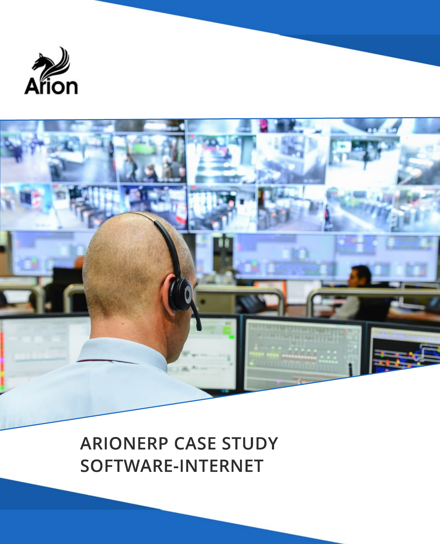



**ARIONERP CASE STUDY SOFTWARE-INTERNET**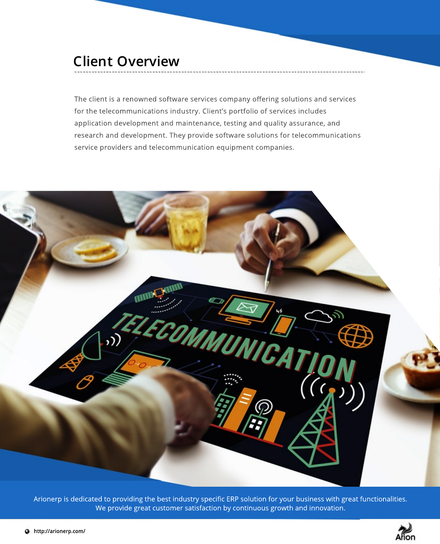#### **Client Overview**

The client is a renowned software services company offering solutions and services for the telecommunications industry. Client's portfolio of services includes application development and maintenance, testing and quality assurance, and research and development. They provide software solutions for telecommunications service providers and telecommunication equipment companies.



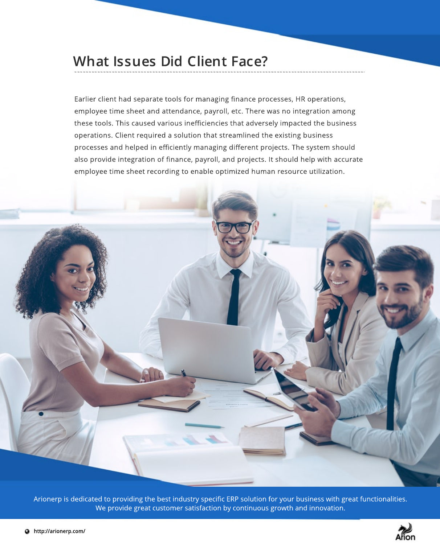#### **What Issues Did Client Face?**

Earlier client had separate tools for managing finance processes, HR operations, employee time sheet and attendance, payroll, etc. There was no integration among these tools. This caused various inefficiencies that adversely impacted the business operations. Client required a solution that streamlined the existing business processes and helped in efficiently managing different projects. The system should also provide integration of finance, payroll, and projects. It should help with accurate employee time sheet recording to enable optimized human resource utilization.



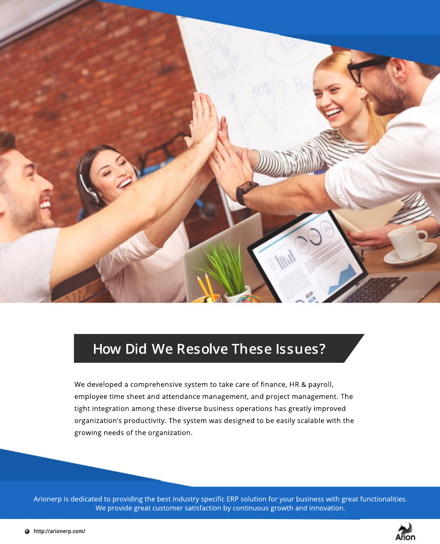

### **How Did We Resolve These Issues?**

We developed a comprehensive system to take care of finance, HR & payroll, employee time sheet and attendance management, and project management. The tight integration among these diverse business operations has greatly improved organization's productivity. The system was designed to be easily scalable with the growing needs of the organization.

![](_page_3_Picture_4.jpeg)